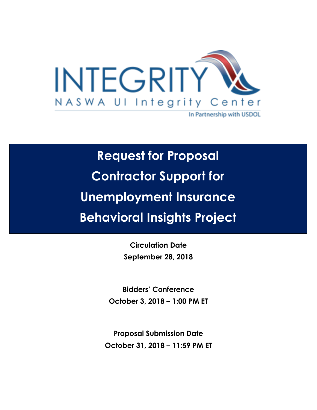

# **Request for Proposal Contractor Support for Unemployment Insurance Behavioral Insights Project**

**Circulation Date September 28, 2018**

**Bidders' Conference October 3, 2018 – 1:00 PM ET** 

**Proposal Submission Date October 31, 2018 – 11:59 PM ET**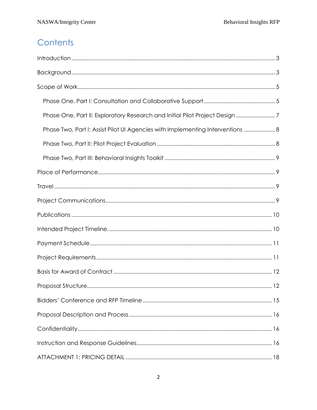## Contents

| Phase One, Part II: Exploratory Research and Initial Pilot Project Design 7    |
|--------------------------------------------------------------------------------|
| Phase Two, Part I: Assist Pilot UI Agencies with Implementing Interventions  8 |
|                                                                                |
|                                                                                |
|                                                                                |
|                                                                                |
|                                                                                |
|                                                                                |
|                                                                                |
|                                                                                |
|                                                                                |
|                                                                                |
|                                                                                |
|                                                                                |
|                                                                                |
|                                                                                |
|                                                                                |
|                                                                                |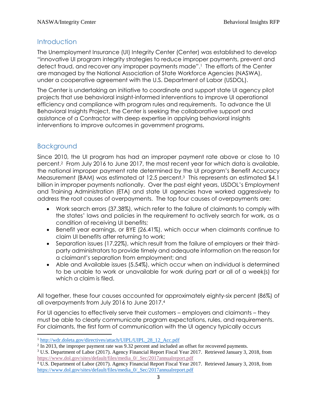## <span id="page-2-0"></span>**Introduction**

The Unemployment Insurance (UI) Integrity Center (Center) was established to develop "innovative UI program integrity strategies to reduce improper payments, prevent and detect fraud, and recover any improper payments made". <sup>1</sup> The efforts of the Center are managed by the National Association of State Workforce Agencies (NASWA), under a cooperative agreement with the U.S. Department of Labor (USDOL).

The Center is undertaking an initiative to coordinate and support state UI agency pilot projects that use behavioral insight-informed interventions to improve UI operational efficiency and compliance with program rules and requirements. To advance the UI Behavioral Insights Project, the Center is seeking the collaborative support and assistance of a Contractor with deep expertise in applying behavioral insights interventions to improve outcomes in government programs.

## Background

 $\overline{\phantom{a}}$ 

Since 2010, the UI program has had an improper payment rate above or close to 10 percent.<sup>2</sup> From July 2016 to June 2017, the most recent year for which data is available, the national improper payment rate determined by the UI program's Benefit Accuracy Measurement (BAM) was estimated at 12.5 percent.<sup>3</sup> This represents an estimated \$4.1 billion in improper payments nationally. Over the past eight years, USDOL's Employment and Training Administration (ETA) and state UI agencies have worked aggressively to address the root causes of overpayments. The top four causes of overpayments are:

- Work search errors (37.38%), which refer to the failure of claimants to comply with the states' laws and policies in the requirement to actively search for work, as a condition of receiving UI benefits;
- Benefit year earnings, or BYE (26.41%), which occur when claimants continue to claim UI benefits after returning to work;
- Separation issues (17.22%), which result from the failure of employers or their thirdparty administrators to provide timely and adequate information on the reason for a claimant's separation from employment; and
- Able and Available issues (5.54%), which occur when an individual is determined to be unable to work or unavailable for work during part or all of a week(s) for which a claim is filed.

All together, these four causes accounted for approximately eighty-six percent (86%) of all overpayments from July 2016 to June 2017.<sup>4</sup>

For UI agencies to effectively serve their customers – employers and claimants – they must be able to clearly communicate program expectations, rules, and requirements. For claimants, the first form of communication with the UI agency typically occurs

<sup>&</sup>lt;sup>1</sup> [http://wdr.doleta.gov/directives/attach/UIPL/UIPL\\_28\\_12\\_Acc.pdf](http://wdr.doleta.gov/directives/attach/UIPL/UIPL_28_12_Acc.pdf)

 $2 \text{ In } 2013$ , the improper payment rate was 9.32 percent and included an offset for recovered payments.

<sup>&</sup>lt;sup>3</sup> U.S. Department of Labor (2017). Agency Financial Report Fiscal Year 2017. Retrieved January 3, 2018, from [https://www.dol.gov/sites/default/files/media\\_0/\\_Sec/2017annualreport.pdf](https://www.dol.gov/sites/default/files/media_0/_Sec/2017annualreport.pdf)

<sup>4</sup> U.S. Department of Labor (2017). Agency Financial Report Fiscal Year 2017. Retrieved January 3, 2018, from [https://www.dol.gov/sites/default/files/media\\_0/\\_Sec/2017annualreport.pdf](https://www.dol.gov/sites/default/files/media_0/_Sec/2017annualreport.pdf)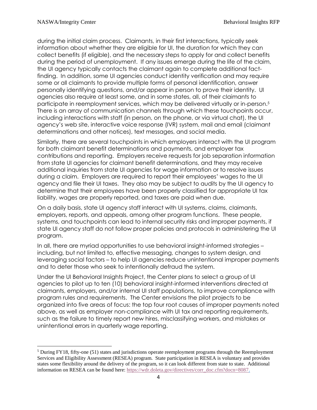$\overline{a}$ 

during the initial claim process. Claimants, in their first interactions, typically seek information about whether they are eligible for UI, the duration for which they can collect benefits (if eligible), and the necessary steps to apply for and collect benefits during the period of unemployment. If any issues emerge during the life of the claim, the UI agency typically contacts the claimant again to complete additional factfinding. In addition, some UI agencies conduct identity verification and may require some or all claimants to provide multiple forms of personal identification, answer personally identifying questions, and/or appear in person to prove their identity. UI agencies also require at least some, and in some states, all, of their claimants to participate in reemployment services, which may be delivered virtually or in-person.<sup>5</sup> There is an array of communication channels through which these touchpoints occur, including interactions with staff (in person, on the phone, or via virtual chat), the UI agency's web site, interactive voice response (IVR) system, mail and email (claimant determinations and other notices), text messages, and social media.

Similarly, there are several touchpoints in which employers interact with the UI program for both claimant benefit determinations and payments, and employer tax contributions and reporting. Employers receive requests for job separation information from state UI agencies for claimant benefit determinations, and they may receive additional inquiries from state UI agencies for wage information or to resolve issues during a claim. Employers are required to report their employees' wages to the UI agency and file their UI taxes. They also may be subject to audits by the UI agency to determine that their employees have been properly classified for appropriate UI tax liability, wages are properly reported, and taxes are paid when due.

On a daily basis, state UI agency staff interact with UI systems, claims, claimants, employers, reports, and appeals, among other program functions. These people, systems, and touchpoints can lead to internal security risks and improper payments, if state UI agency staff do not follow proper policies and protocols in administering the UI program.

In all, there are myriad opportunities to use behavioral insight-informed strategies – including, but not limited to, effective messaging, changes to system design, and leveraging social factors – to help UI agencies reduce unintentional improper payments and to deter those who seek to intentionally defraud the system.

Under the UI Behavioral Insights Project, the Center plans to select a group of UI agencies to pilot up to ten (10) behavioral insight-informed interventions directed at claimants, employers, and/or internal UI staff populations, to improve compliance with program rules and requirements. The Center envisions the pilot projects to be organized into five areas of focus: the top four root causes of improper payments noted above, as well as employer non-compliance with UI tax and reporting requirements, such as the failure to timely report new hires, misclassifying workers, and mistakes or unintentional errors in quarterly wage reporting.

<sup>&</sup>lt;sup>5</sup> During FY18, fifty-one (51) states and jurisdictions operate reemployment programs through the Reemployment Services and Eligibility Assessment (RESEA) program. State participation in RESEA is voluntary and provides states some flexibility around the delivery of the program, so it can look different from state to state. Additional information on RESEA can be found here: [https://wdr.doleta.gov/directives/corr\\_doc.cfm?docn=8087.](https://wdr.doleta.gov/directives/corr_doc.cfm?docn=8087)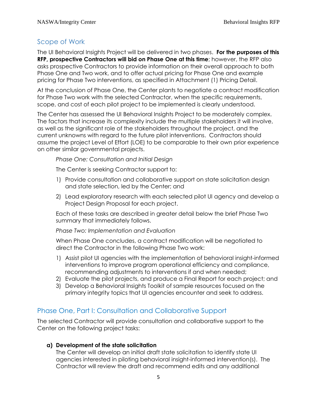## <span id="page-4-0"></span>Scope of Work

The UI Behavioral Insights Project will be delivered in two phases. **For the purposes of this RFP, prospective Contractors will bid on Phase One at this time**; however, the RFP also asks prospective Contractors to provide information on their overall approach to both Phase One and Two work, and to offer actual pricing for Phase One and example pricing for Phase Two interventions, as specified in Attachment (1) Pricing Detail.

At the conclusion of Phase One, the Center plants to negotiate a contract modification for Phase Two work with the selected Contractor, when the specific requirements, scope, and cost of each pilot project to be implemented is clearly understood.

The Center has assessed the UI Behavioral Insights Project to be moderately complex. The factors that increase its complexity include the multiple stakeholders it will involve, as well as the significant role of the stakeholders throughout the project, and the current unknowns with regard to the future pilot interventions. Contractors should assume the project Level of Effort (LOE) to be comparable to their own prior experience on other similar governmental projects.

*Phase One: Consultation and Initial Design*

The Center is seeking Contractor support to:

- 1) Provide consultation and collaborative support on state solicitation design and state selection, led by the Center; and
- 2) Lead exploratory research with each selected pilot UI agency and develop a Project Design Proposal for each project.

Each of these tasks are described in greater detail below the brief Phase Two summary that immediately follows.

*Phase Two: Implementation and Evaluation*

When Phase One concludes, a contract modification will be negotiated to direct the Contractor in the following Phase Two work:

- 1) Assist pilot UI agencies with the implementation of behavioral insight-informed interventions to improve program operational efficiency and compliance, recommending adjustments to interventions if and when needed;
- 2) Evaluate the pilot projects, and produce a Final Report for each project; and
- 3) Develop a Behavioral Insights Toolkit of sample resources focused on the primary integrity topics that UI agencies encounter and seek to address.

## <span id="page-4-1"></span>Phase One, Part I: Consultation and Collaborative Support

The selected Contractor will provide consultation and collaborative support to the Center on the following project tasks:

#### **a) Development of the state solicitation**

The Center will develop an initial draft state solicitation to identify state UI agencies interested in piloting behavioral insight-informed intervention(s). The Contractor will review the draft and recommend edits and any additional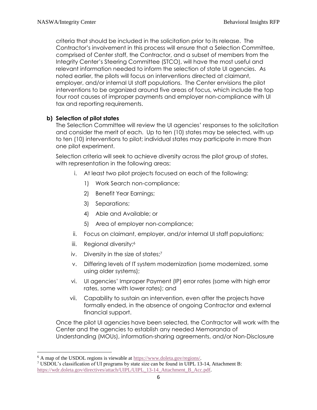criteria that should be included in the solicitation prior to its release. The Contractor's involvement in this process will ensure that a Selection Committee, comprised of Center staff, the Contractor, and a subset of members from the Integrity Center's Steering Committee (STCO), will have the most useful and relevant information needed to inform the selection of state UI agencies. As noted earlier, the pilots will focus on interventions directed at claimant, employer, and/or internal UI staff populations. The Center envisions the pilot interventions to be organized around five areas of focus, which include the top four root causes of improper payments and employer non-compliance with UI tax and reporting requirements.

#### **b) Selection of pilot states**

The Selection Committee will review the UI agencies' responses to the solicitation and consider the merit of each. Up to ten (10) states may be selected, with up to ten (10) interventions to pilot; individual states may participate in more than one pilot experiment.

Selection criteria will seek to achieve diversity across the pilot group of states, with representation in the following areas:

- i. At least two pilot projects focused on each of the following:
	- 1) Work Search non-compliance;
	- 2) Benefit Year Earnings;
	- 3) Separations;
	- 4) Able and Available; or
	- 5) Area of employer non-compliance;
- ii. Focus on claimant, employer, and/or internal UI staff populations;
- iii. Regional diversity;<sup>6</sup>
- iv. Diversity in the size of states;<sup>7</sup>
- v. Differing levels of IT system modernization (some modernized, some using older systems);
- vi. UI agencies' Improper Payment (IP) error rates (some with high error rates, some with lower rates); and
- vii. Capability to sustain an intervention, even after the projects have formally ended, in the absence of ongoing Contractor and external financial support.

Once the pilot UI agencies have been selected, the Contractor will work with the Center and the agencies to establish any needed Memoranda of Understanding (MOUs), information-sharing agreements, and/or Non-Disclosure

 $\overline{\phantom{a}}$ 

<sup>6</sup> A map of the USDOL regions is viewable at [https://www.doleta.gov/regions/.](https://www.doleta.gov/regions/)

<sup>7</sup> USDOL's classification of UI programs by state size can be found in UIPL 13-14, Attachment B: [https://wdr.doleta.gov/directives/attach/UIPL/UIPL\\_13-14\\_Attachment\\_B\\_Acc.pdf.](https://wdr.doleta.gov/directives/attach/UIPL/UIPL_13-14_Attachment_B_Acc.pdf)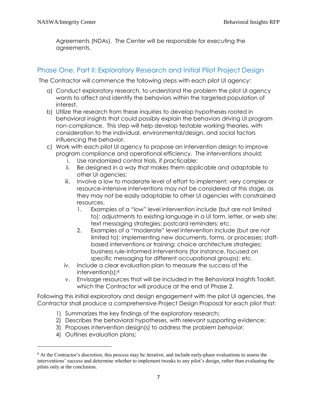Agreements (NDAs). The Center will be responsible for executing the agreements.

## <span id="page-6-0"></span>Phase One, Part II: Exploratory Research and Initial Pilot Project Design

The Contractor will commence the following steps with each pilot UI agency:

- a) Conduct exploratory research, to understand the problem the pilot UI agency wants to affect and identify the behaviors within the targeted population of interest.
- b) Utilize the research from these inquiries to develop hypotheses rooted in behavioral insights that could possibly explain the behaviors driving UI program non-compliance. This step will help develop testable working theories, with consideration to the individual, environmental/design, and social factors influencing the behavior.
- c) Work with each pilot UI agency to propose an intervention design to improve program compliance and operational efficiency. The interventions should:
	- i. Use randomized control trials, if practicable;
	- ii. Be designed in a way that makes them applicable and adaptable to other UI agencies;
	- iii. Involve a low to moderate level of effort to implement; very complex or resource-intensive interventions may not be considered at this stage, as they may not be easily adaptable to other UI agencies with constrained resources.
		- 1. Examples of a "low" level intervention include (but are not limited to): adjustments to existing language in a UI form, letter, or web site; text messaging strategies; postcard reminders; etc.
		- 2. Examples of a "moderate" level intervention include (but are not limited to): implementing new documents, forms, or processes; staffbased interventions or training; choice architecture strategies; business rule-informed interventions (for instance, focused on specific messaging for different occupational groups); etc.
	- iv. Include a clear evaluation plan to measure the success of the intervention(s); 8
	- v. Envisage resources that will be included in the Behavioral Insights Toolkit, which the Contractor will produce at the end of Phase 2.

Following this initial exploratory and design engagement with the pilot UI agencies, the Contractor shall produce a comprehensive Project Design Proposal for each pilot that:

- 1) Summarizes the key findings of the exploratory research;
- 2) Describes the behavioral hypotheses, with relevant supporting evidence;
- 3) Proposes intervention design(s) to address the problem behavior;
- 4) Outlines evaluation plans;

l

<sup>8</sup> At the Contractor's discretion, this process may be iterative, and include early-phase evaluations to assess the interventions' success and determine whether to implement tweaks to any pilot's design, rather than evaluating the pilots only at the conclusion.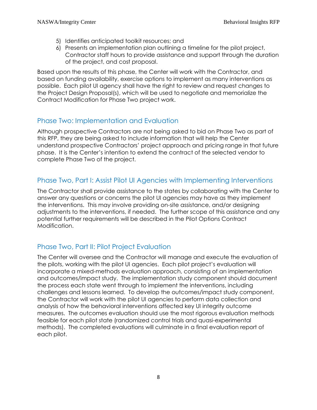- 5) Identifies anticipated toolkit resources; and
- 6) Presents an implementation plan outlining a timeline for the pilot project, Contractor staff hours to provide assistance and support through the duration of the project, and cost proposal.

Based upon the results of this phase, the Center will work with the Contractor, and based on funding availability, exercise options to implement as many interventions as possible. Each pilot UI agency shall have the right to review and request changes to the Project Design Proposal(s), which will be used to negotiate and memorialize the Contract Modification for Phase Two project work.

## Phase Two: Implementation and Evaluation

Although prospective Contractors are not being asked to bid on Phase Two as part of this RFP, they are being asked to include information that will help the Center understand prospective Contractors' project approach and pricing range in that future phase. It is the Center's intention to extend the contract of the selected vendor to complete Phase Two of the project.

## Phase Two, Part I: Assist Pilot UI Agencies with Implementing Interventions

The Contractor shall provide assistance to the states by collaborating with the Center to answer any questions or concerns the pilot UI agencies may have as they implement the interventions. This may involve providing on-site assistance, and/or designing adjustments to the interventions, if needed. The further scope of this assistance and any potential further requirements will be described in the Pilot Options Contract Modification.

## Phase Two, Part II: Pilot Project Evaluation

The Center will oversee and the Contractor will manage and execute the evaluation of the pilots, working with the pilot UI agencies. Each pilot project's evaluation will incorporate a mixed-methods evaluation approach, consisting of an implementation and outcomes/impact study. The implementation study component should document the process each state went through to implement the interventions, including challenges and lessons learned. To develop the outcomes/impact study component, the Contractor will work with the pilot UI agencies to perform data collection and analysis of how the behavioral interventions affected key UI integrity outcome measures. The outcomes evaluation should use the most rigorous evaluation methods feasible for each pilot state (randomized control trials and quasi-experimental methods). The completed evaluations will culminate in a final evaluation report of each pilot.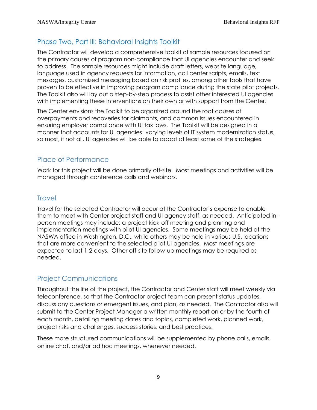## Phase Two, Part III: Behavioral Insights Toolkit

The Contractor will develop a comprehensive toolkit of sample resources focused on the primary causes of program non-compliance that UI agencies encounter and seek to address. The sample resources might include draft letters, website language, language used in agency requests for information, call center scripts, emails, text messages, customized messaging based on risk profiles, among other tools that have proven to be effective in improving program compliance during the state pilot projects. The Toolkit also will lay out a step-by-step process to assist other interested UI agencies with implementing these interventions on their own or with support from the Center.

The Center envisions the Toolkit to be organized around the root causes of overpayments and recoveries for claimants, and common issues encountered in ensuring employer compliance with UI tax laws. The Toolkit will be designed in a manner that accounts for UI agencies' varying levels of IT system modernization status, so most, if not all, UI agencies will be able to adopt at least some of the strategies.

## <span id="page-8-0"></span>Place of Performance

Work for this project will be done primarily off-site. Most meetings and activities will be managed through conference calls and webinars.

## **Travel**

Travel for the selected Contractor will occur at the Contractor's expense to enable them to meet with Center project staff and UI agency staff, as needed. Anticipated inperson meetings may include: a project kick-off meeting and planning and implementation meetings with pilot UI agencies. Some meetings may be held at the NASWA office in Washington, D.C., while others may be held in various U.S. locations that are more convenient to the selected pilot UI agencies. Most meetings are expected to last 1-2 days. Other off-site follow-up meetings may be required as needed.

## Project Communications

Throughout the life of the project, the Contractor and Center staff will meet weekly via teleconference, so that the Contractor project team can present status updates, discuss any questions or emergent issues, and plan, as needed. The Contractor also will submit to the Center Project Manager a written monthly report on or by the fourth of each month, detailing meeting dates and topics, completed work, planned work, project risks and challenges, success stories, and best practices.

These more structured communications will be supplemented by phone calls, emails, online chat, and/or ad hoc meetings, whenever needed.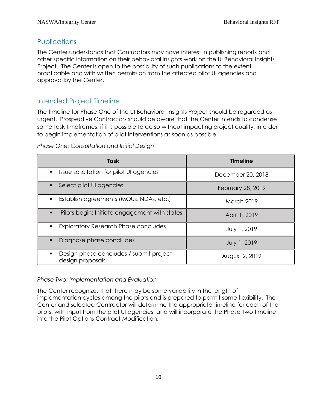## **Publications**

The Center understands that Contractors may have interest in publishing reports and other specific information on their behavioral insights work on the UI Behavioral Insights Project. The Center is open to the possibility of such publications to the extent practicable and with written permission from the affected pilot UI agencies and approval by the Center.

## Intended Project Timeline

The timeline for Phase One of the UI Behavioral Insights Project should be regarded as urgent. Prospective Contractors should be aware that the Center intends to condense some task timeframes, if it is possible to do so without impacting project quality, in order to begin implementation of pilot interventions as soon as possible.

|  | Phase One: Consultation and Initial Design |  |  |
|--|--------------------------------------------|--|--|
|  |                                            |  |  |

| <b>Task</b>                                                 | <b>Timeline</b>   |
|-------------------------------------------------------------|-------------------|
| Issue solicitation for pilot UI agencies                    | December 20, 2018 |
| Select pilot UI agencies<br>$\blacksquare$                  | February 28, 2019 |
| Establish agreements (MOUs, NDAs, etc.)                     | <b>March 2019</b> |
| Pilots begin: Initiate engagement with states               | April 1, 2019     |
| <b>Exploratory Research Phase concludes</b>                 | July 1, 2019      |
| Diagnose phase concludes                                    | July 1, 2019      |
| Design phase concludes / submit project<br>design proposals | August 2, 2019    |

#### *Phase Two: Implementation and Evaluation*

The Center recognizes that there may be some variability in the length of implementation cycles among the pilots and is prepared to permit some flexibility. The Center and selected Contractor will determine the appropriate timeline for each of the pilots, with input from the pilot UI agencies, and will incorporate the Phase Two timeline into the Pilot Options Contract Modification.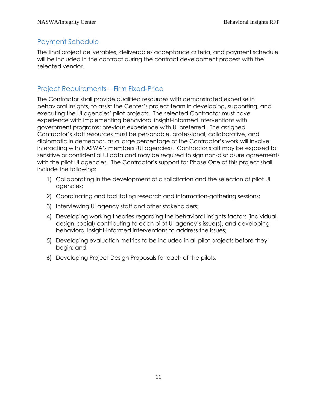## Payment Schedule

The final project deliverables, deliverables acceptance criteria, and payment schedule will be included in the contract during the contract development process with the selected vendor.

## Project Requirements – Firm Fixed-Price

The Contractor shall provide qualified resources with demonstrated expertise in behavioral insights, to assist the Center's project team in developing, supporting, and executing the UI agencies' pilot projects. The selected Contractor must have experience with implementing behavioral insight-informed interventions with government programs; previous experience with UI preferred. The assigned Contractor's staff resources must be personable, professional, collaborative, and diplomatic in demeanor, as a large percentage of the Contractor's work will involve interacting with NASWA's members (UI agencies). Contractor staff may be exposed to sensitive or confidential UI data and may be required to sign non-disclosure agreements with the pilot UI agencies. The Contractor's support for Phase One of this project shall include the following:

- 1) Collaborating in the development of a solicitation and the selection of pilot UI agencies;
- 2) Coordinating and facilitating research and information-gathering sessions;
- 3) Interviewing UI agency staff and other stakeholders;
- 4) Developing working theories regarding the behavioral insights factors (individual, design, social) contributing to each pilot UI agency's issue(s), and developing behavioral insight-informed interventions to address the issues;
- 5) Developing evaluation metrics to be included in all pilot projects before they begin; and
- 6) Developing Project Design Proposals for each of the pilots.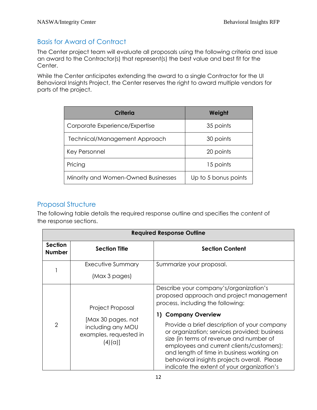## Basis for Award of Contract

The Center project team will evaluate all proposals using the following criteria and issue an award to the Contractor(s) that represent(s) the best value and best fit for the Center.

While the Center anticipates extending the award to a single Contractor for the UI Behavioral Insights Project, the Center reserves the right to award multiple vendors for parts of the project.

| Criteria                            | Weight               |
|-------------------------------------|----------------------|
| Corporate Experience/Expertise      | 35 points            |
| Technical/Management Approach       | 30 points            |
| Key Personnel                       | 20 points            |
| Pricing                             | 15 points            |
| Minority and Women-Owned Businesses | Up to 5 bonus points |

#### Proposal Structure

The following table details the required response outline and specifies the content of the response sections.

| <b>Required Response Outline</b> |                                                                                                         |                                                                                                                                                                                                                                                                                                                                                                                                                                                                                  |  |  |
|----------------------------------|---------------------------------------------------------------------------------------------------------|----------------------------------------------------------------------------------------------------------------------------------------------------------------------------------------------------------------------------------------------------------------------------------------------------------------------------------------------------------------------------------------------------------------------------------------------------------------------------------|--|--|
| <b>Section</b><br><b>Number</b>  | <b>Section Title</b>                                                                                    | <b>Section Content</b>                                                                                                                                                                                                                                                                                                                                                                                                                                                           |  |  |
|                                  | Executive Summary<br>(Max 3 pages)                                                                      | Summarize your proposal.                                                                                                                                                                                                                                                                                                                                                                                                                                                         |  |  |
| $\overline{2}$                   | <b>Project Proposal</b><br>[Max 30 pages, not<br>including any MOU<br>examples, requested in<br>(4)(a)] | Describe your company's/organization's<br>proposed approach and project management<br>process, including the following:<br>1) Company Overview<br>Provide a brief description of your company<br>or organization; services provided; business<br>size (in terms of revenue and number of<br>employees and current clients/customers);<br>and length of time in business working on<br>behavioral insights projects overall. Please<br>indicate the extent of your organization's |  |  |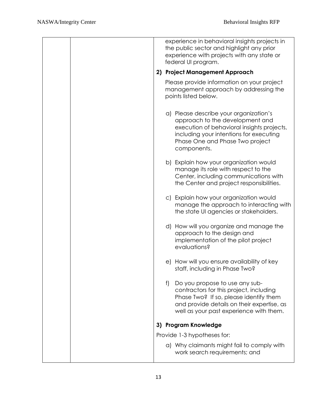|  |    | experience in behavioral insights projects in<br>the public sector and highlight any prior<br>experience with projects with any state or<br>federal UI program.                                                      |
|--|----|----------------------------------------------------------------------------------------------------------------------------------------------------------------------------------------------------------------------|
|  | 2) | <b>Project Management Approach</b>                                                                                                                                                                                   |
|  |    | Please provide information on your project<br>management approach by addressing the<br>points listed below.                                                                                                          |
|  |    | a) Please describe your organization's<br>approach to the development and<br>execution of behavioral insights projects,<br>including your intentions for executing<br>Phase One and Phase Two project<br>components. |
|  |    | b) Explain how your organization would<br>manage its role with respect to the<br>Center, including communications with<br>the Center and project responsibilities.                                                   |
|  |    | c) Explain how your organization would<br>manage the approach to interacting with<br>the state UI agencies or stakeholders.                                                                                          |
|  |    | d) How will you organize and manage the<br>approach to the design and<br>implementation of the pilot project<br>evaluations?                                                                                         |
|  |    | e) How will you ensure availability of key<br>staff, including in Phase Two?                                                                                                                                         |
|  | f  | Do you propose to use any sub-<br>contractors for this project, including<br>Phase Two? If so, please identify them<br>and provide details on their expertise, as<br>well as your past experience with them.         |
|  |    | 3) Program Knowledge                                                                                                                                                                                                 |
|  |    | Provide 1-3 hypotheses for:                                                                                                                                                                                          |
|  |    | a) Why claimants might fail to comply with<br>work search requirements; and                                                                                                                                          |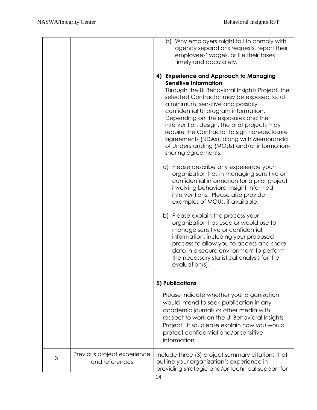|   |                                               | b) Why employers might fail to comply with<br>agency separations requests, report their<br>employees' wages, or file their taxes<br>timely and accurately.<br>4) Experience and Approach to Managing<br><b>Sensitive Information</b><br>Through the UI Behavioral Insights Project, the<br>selected Contractor may be exposed to, at<br>a minimum, sensitive and possibly<br>confidential UI program information.<br>Depending on the exposures and the<br>intervention design, the pilot projects may<br>require the Contractor to sign non-disclosure<br>agreements (NDAs), along with Memoranda<br>of Understanding (MOUs) and/or information-<br>sharing agreements.<br>a) Please describe any experience your<br>organization has in managing sensitive or<br>confidential information for a prior project<br>involving behavioral insight-informed<br>interventions. Please also provide<br>examples of MOUs, if available.<br>b) Please explain the process your<br>organization has used or would use to<br>manage sensitive or confidential<br>information, including your proposed<br>process to allow you to access and share<br>data in a secure environment to perform<br>the necessary statistical analysis for the<br>$evaluation(s)$ . |
|---|-----------------------------------------------|--------------------------------------------------------------------------------------------------------------------------------------------------------------------------------------------------------------------------------------------------------------------------------------------------------------------------------------------------------------------------------------------------------------------------------------------------------------------------------------------------------------------------------------------------------------------------------------------------------------------------------------------------------------------------------------------------------------------------------------------------------------------------------------------------------------------------------------------------------------------------------------------------------------------------------------------------------------------------------------------------------------------------------------------------------------------------------------------------------------------------------------------------------------------------------------------------------------------------------------------------------|
|   |                                               | 5) Publications                                                                                                                                                                                                                                                                                                                                                                                                                                                                                                                                                                                                                                                                                                                                                                                                                                                                                                                                                                                                                                                                                                                                                                                                                                        |
|   |                                               | Please indicate whether your organization<br>would intend to seek publication in any<br>academic journals or other media with<br>respect to work on the UI Behavioral Insights<br>Project. If so, please explain how you would<br>protect confidential and/or sensitive<br>information.                                                                                                                                                                                                                                                                                                                                                                                                                                                                                                                                                                                                                                                                                                                                                                                                                                                                                                                                                                |
| 3 | Previous project experience<br>and references | Include three (3) project summary citations that<br>outline your organization's experience in<br>providing strategic and/or technical support for                                                                                                                                                                                                                                                                                                                                                                                                                                                                                                                                                                                                                                                                                                                                                                                                                                                                                                                                                                                                                                                                                                      |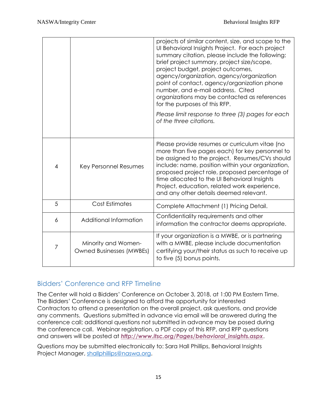|   |                                                 | projects of similar content, size, and scope to the<br>Ul Behavioral Insights Project. For each project<br>summary citation, please include the following:<br>brief project summary, project size/scope,<br>project budget, project outcomes,<br>agency/organization, agency/organization<br>point of contact, agency/organization phone<br>number, and e-mail address. Cited<br>organizations may be contacted as references<br>for the purposes of this RFP.<br>Please limit response to three (3) pages for each<br>of the three citations. |
|---|-------------------------------------------------|------------------------------------------------------------------------------------------------------------------------------------------------------------------------------------------------------------------------------------------------------------------------------------------------------------------------------------------------------------------------------------------------------------------------------------------------------------------------------------------------------------------------------------------------|
| 4 | Key Personnel Resumes                           | Please provide resumes or curriculum vitae (no<br>more than five pages each) for key personnel to<br>be assigned to the project. Resumes/CVs should<br>include: name, position within your organization,<br>proposed project role, proposed percentage of<br>time allocated to the UI Behavioral Insights<br>Project, education, related work experience,<br>and any other details deemed relevant.                                                                                                                                            |
| 5 | <b>Cost Estimates</b>                           | Complete Attachment (1) Pricing Detail.                                                                                                                                                                                                                                                                                                                                                                                                                                                                                                        |
| 6 | Additional Information                          | Confidentiality requirements and other<br>information the contractor deems appropriate.                                                                                                                                                                                                                                                                                                                                                                                                                                                        |
| 7 | Minority and Women-<br>Owned Businesses (MWBEs) | If your organization is a MWBE, or is partnering<br>with a MWBE, please include documentation<br>certifying your/their status as such to receive up<br>to five (5) bonus points.                                                                                                                                                                                                                                                                                                                                                               |

## <span id="page-14-0"></span>Bidders' Conference and RFP Timeline

The Center will hold a Bidders' Conference on October 3, 2018, at 1:00 PM Eastern Time. The Bidders' Conference is designed to afford the opportunity for interested Contractors to attend a presentation on the overall project, ask questions, and provide any comments. Questions submitted in advance via email will be answered during the conference call; additional questions not submitted in advance may be posed during the conference call. Webinar registration, a PDF copy of this RFP, and RFP questions and answers will be posted at *[http://www.itsc.org/Pages/behavioral\\_insights.aspx](http://www.itsc.org/Pages/behavioral_insights.aspx)*.

Questions may be submitted electronically to: Sara Hall Phillips, Behavioral Insights Project Manager, [shallphillips@naswa.org.](mailto:shallphillips@naswa.org)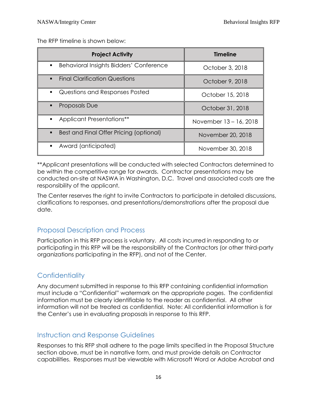The RFP timeline is shown below:

| <b>Project Activity</b>                                          | <b>Timeline</b>        |
|------------------------------------------------------------------|------------------------|
| <b>Behavioral Insights Bidders' Conference</b><br>$\blacksquare$ | October 3, 2018        |
| <b>Final Clarification Questions</b><br>$\blacksquare$           | October 9, 2018        |
| Questions and Responses Posted<br>$\blacksquare$                 | October 15, 2018       |
| <b>Proposals Due</b><br>$\blacksquare$                           | October 31, 2018       |
| <b>Applicant Presentations**</b><br>٠                            | November 13 - 16, 2018 |
| Best and Final Offer Pricing (optional)<br>$\blacksquare$        | November 20, 2018      |
| Award (anticipated)<br>٠                                         | November 30, 2018      |

\*\*Applicant presentations will be conducted with selected Contractors determined to be within the competitive range for awards. Contractor presentations may be conducted on-site at NASWA in Washington, D.C. Travel and associated costs are the responsibility of the applicant.

The Center reserves the right to invite Contractors to participate in detailed discussions, clarifications to responses, and presentations/demonstrations after the proposal due date.

## Proposal Description and Process

Participation in this RFP process is voluntary. All costs incurred in responding to or participating in this RFP will be the responsibility of the Contractors (or other third-party organizations participating in the RFP), and not of the Center.

## <span id="page-15-0"></span>**Confidentiality**

Any document submitted in response to this RFP containing confidential information must include a "Confidential" watermark on the appropriate pages. The confidential information must be clearly identifiable to the reader as confidential. All other information will not be treated as confidential. Note: All confidential information is for the Center's use in evaluating proposals in response to this RFP.

## <span id="page-15-1"></span>Instruction and Response Guidelines

Responses to this RFP shall adhere to the page limits specified in the Proposal Structure section above, must be in narrative form, and must provide details on Contractor capabilities. Responses must be viewable with Microsoft Word or Adobe Acrobat and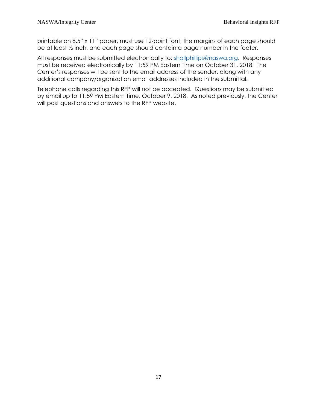printable on 8.5" x 11" paper, must use 12-point font, the margins of each page should be at least ½ inch, and each page should contain a page number in the footer.

All responses must be submitted electronically to: [shallphillips@naswa.org.](mailto:shallphillips@naswa.org) Responses must be received electronically by 11:59 PM Eastern Time on October 31, 2018. The Center's responses will be sent to the email address of the sender, along with any additional company/organization email addresses included in the submittal.

Telephone calls regarding this RFP will not be accepted. Questions may be submitted by email up to 11:59 PM Eastern Time, October 9, 2018. As noted previously, the Center will post questions and answers to the RFP website.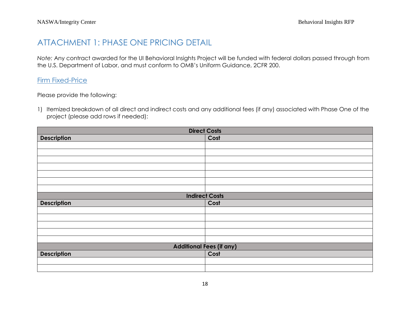## ATTACHMENT 1: PHASE ONE PRICING DETAIL

*Note:* Any contract awarded for the UI Behavioral Insights Project will be funded with federal dollars passed through from the U.S. Department of Labor, and must conform to OMB's Uniform Guidance, 2CFR 200.

#### **Firm Fixed-Price**

Please provide the following:

1) Itemized breakdown of all direct and indirect costs and any additional fees (if any) associated with Phase One of the project (please add rows if needed):

| <b>Direct Costs</b>             |      |  |  |  |
|---------------------------------|------|--|--|--|
| <b>Description</b>              | Cost |  |  |  |
|                                 |      |  |  |  |
|                                 |      |  |  |  |
|                                 |      |  |  |  |
|                                 |      |  |  |  |
|                                 |      |  |  |  |
|                                 |      |  |  |  |
|                                 |      |  |  |  |
| <b>Indirect Costs</b>           |      |  |  |  |
| <b>Description</b>              | Cost |  |  |  |
|                                 |      |  |  |  |
|                                 |      |  |  |  |
|                                 |      |  |  |  |
|                                 |      |  |  |  |
|                                 |      |  |  |  |
| <b>Additional Fees (if any)</b> |      |  |  |  |
| <b>Description</b>              | Cost |  |  |  |
|                                 |      |  |  |  |
|                                 |      |  |  |  |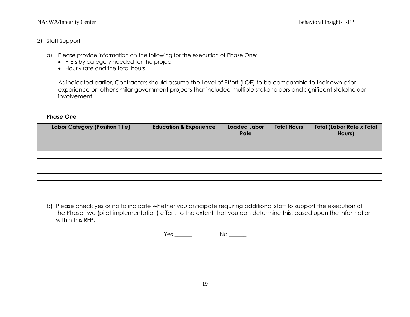#### NASWA/Integrity Center Behavioral Insights RFP

#### 2) Staff Support

- a) Please provide information on the following for the execution of Phase One:
	- FTE's by category needed for the project
	- Hourly rate and the total hours

As indicated earlier, Contractors should assume the Level of Effort (LOE) to be comparable to their own prior experience on other similar government projects that included multiple stakeholders and significant stakeholder involvement.

#### *Phase One*

| <b>Labor Category (Position Title)</b> | <b>Education &amp; Experience</b> | <b>Loaded Labor</b><br>Rate | <b>Total Hours</b> | <b>Total (Labor Rate x Total</b><br>Hours) |
|----------------------------------------|-----------------------------------|-----------------------------|--------------------|--------------------------------------------|
|                                        |                                   |                             |                    |                                            |
|                                        |                                   |                             |                    |                                            |
|                                        |                                   |                             |                    |                                            |
|                                        |                                   |                             |                    |                                            |
|                                        |                                   |                             |                    |                                            |

b) Please check yes or no to indicate whether you anticipate requiring additional staff to support the execution of the Phase Two (pilot implementation) effort, to the extent that you can determine this, based upon the information within this RFP.

Yes \_\_\_\_\_\_\_\_ No \_\_\_\_\_\_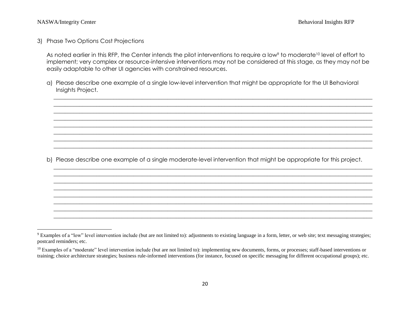$\overline{\phantom{a}}$ 

3) Phase Two Options Cost Projections

As noted earlier in this RFP, the Center intends the pilot interventions to require a low<sup>9</sup> to moderate<sup>10</sup> level of effort to implement; very complex or resource-intensive interventions may not be considered at this stage, as they may not be easily adaptable to other UI agencies with constrained resources.

\_\_\_\_\_\_\_\_\_\_\_\_\_\_\_\_\_\_\_\_\_\_\_\_\_\_\_\_\_\_\_\_\_\_\_\_\_\_\_\_\_\_\_\_\_\_\_\_\_\_\_\_\_\_\_\_\_\_\_\_\_\_\_\_\_\_\_\_\_\_\_\_\_\_\_\_\_\_\_\_\_\_\_\_\_\_\_\_\_\_\_\_\_\_\_\_\_\_\_\_\_\_\_\_\_\_\_\_\_\_\_\_ \_\_\_\_\_\_\_\_\_\_\_\_\_\_\_\_\_\_\_\_\_\_\_\_\_\_\_\_\_\_\_\_\_\_\_\_\_\_\_\_\_\_\_\_\_\_\_\_\_\_\_\_\_\_\_\_\_\_\_\_\_\_\_\_\_\_\_\_\_\_\_\_\_\_\_\_\_\_\_\_\_\_\_\_\_\_\_\_\_\_\_\_\_\_\_\_\_\_\_\_\_\_\_\_\_\_\_\_\_\_\_\_ \_\_\_\_\_\_\_\_\_\_\_\_\_\_\_\_\_\_\_\_\_\_\_\_\_\_\_\_\_\_\_\_\_\_\_\_\_\_\_\_\_\_\_\_\_\_\_\_\_\_\_\_\_\_\_\_\_\_\_\_\_\_\_\_\_\_\_\_\_\_\_\_\_\_\_\_\_\_\_\_\_\_\_\_\_\_\_\_\_\_\_\_\_\_\_\_\_\_\_\_\_\_\_\_\_\_\_\_\_\_\_\_ \_\_\_\_\_\_\_\_\_\_\_\_\_\_\_\_\_\_\_\_\_\_\_\_\_\_\_\_\_\_\_\_\_\_\_\_\_\_\_\_\_\_\_\_\_\_\_\_\_\_\_\_\_\_\_\_\_\_\_\_\_\_\_\_\_\_\_\_\_\_\_\_\_\_\_\_\_\_\_\_\_\_\_\_\_\_\_\_\_\_\_\_\_\_\_\_\_\_\_\_\_\_\_\_\_\_\_\_\_\_\_\_ \_\_\_\_\_\_\_\_\_\_\_\_\_\_\_\_\_\_\_\_\_\_\_\_\_\_\_\_\_\_\_\_\_\_\_\_\_\_\_\_\_\_\_\_\_\_\_\_\_\_\_\_\_\_\_\_\_\_\_\_\_\_\_\_\_\_\_\_\_\_\_\_\_\_\_\_\_\_\_\_\_\_\_\_\_\_\_\_\_\_\_\_\_\_\_\_\_\_\_\_\_\_\_\_\_\_\_\_\_\_\_\_ \_\_\_\_\_\_\_\_\_\_\_\_\_\_\_\_\_\_\_\_\_\_\_\_\_\_\_\_\_\_\_\_\_\_\_\_\_\_\_\_\_\_\_\_\_\_\_\_\_\_\_\_\_\_\_\_\_\_\_\_\_\_\_\_\_\_\_\_\_\_\_\_\_\_\_\_\_\_\_\_\_\_\_\_\_\_\_\_\_\_\_\_\_\_\_\_\_\_\_\_\_\_\_\_\_\_\_\_\_\_\_\_ \_\_\_\_\_\_\_\_\_\_\_\_\_\_\_\_\_\_\_\_\_\_\_\_\_\_\_\_\_\_\_\_\_\_\_\_\_\_\_\_\_\_\_\_\_\_\_\_\_\_\_\_\_\_\_\_\_\_\_\_\_\_\_\_\_\_\_\_\_\_\_\_\_\_\_\_\_\_\_\_\_\_\_\_\_\_\_\_\_\_\_\_\_\_\_\_\_\_\_\_\_\_\_\_\_\_\_\_\_\_\_\_ \_\_\_\_\_\_\_\_\_\_\_\_\_\_\_\_\_\_\_\_\_\_\_\_\_\_\_\_\_\_\_\_\_\_\_\_\_\_\_\_\_\_\_\_\_\_\_\_\_\_\_\_\_\_\_\_\_\_\_\_\_\_\_\_\_\_\_\_\_\_\_\_\_\_\_\_\_\_\_\_\_\_\_\_\_\_\_\_\_\_\_\_\_\_\_\_\_\_\_\_\_\_\_\_\_\_\_\_\_\_\_\_

a) Please describe one example of a single low-level intervention that might be appropriate for the UI Behavioral Insights Project.

b) Please describe one example of a single moderate-level intervention that might be appropriate for this project.

\_\_\_\_\_\_\_\_\_\_\_\_\_\_\_\_\_\_\_\_\_\_\_\_\_\_\_\_\_\_\_\_\_\_\_\_\_\_\_\_\_\_\_\_\_\_\_\_\_\_\_\_\_\_\_\_\_\_\_\_\_\_\_\_\_\_\_\_\_\_\_\_\_\_\_\_\_\_\_\_\_\_\_\_\_\_\_\_\_\_\_\_\_\_\_\_\_\_\_\_\_\_\_\_\_\_\_\_\_\_\_\_  $\_$  , and the set of the set of the set of the set of the set of the set of the set of the set of the set of the set of the set of the set of the set of the set of the set of the set of the set of the set of the set of th \_\_\_\_\_\_\_\_\_\_\_\_\_\_\_\_\_\_\_\_\_\_\_\_\_\_\_\_\_\_\_\_\_\_\_\_\_\_\_\_\_\_\_\_\_\_\_\_\_\_\_\_\_\_\_\_\_\_\_\_\_\_\_\_\_\_\_\_\_\_\_\_\_\_\_\_\_\_\_\_\_\_\_\_\_\_\_\_\_\_\_\_\_\_\_\_\_\_\_\_\_\_\_\_\_\_\_\_\_\_\_\_  $\_$  , and the set of the set of the set of the set of the set of the set of the set of the set of the set of the set of the set of the set of the set of the set of the set of the set of the set of the set of the set of th \_\_\_\_\_\_\_\_\_\_\_\_\_\_\_\_\_\_\_\_\_\_\_\_\_\_\_\_\_\_\_\_\_\_\_\_\_\_\_\_\_\_\_\_\_\_\_\_\_\_\_\_\_\_\_\_\_\_\_\_\_\_\_\_\_\_\_\_\_\_\_\_\_\_\_\_\_\_\_\_\_\_\_\_\_\_\_\_\_\_\_\_\_\_\_\_\_\_\_\_\_\_\_\_\_\_\_\_\_\_\_\_  $\_$  , and the set of the set of the set of the set of the set of the set of the set of the set of the set of the set of the set of the set of the set of the set of the set of the set of the set of the set of the set of th \_\_\_\_\_\_\_\_\_\_\_\_\_\_\_\_\_\_\_\_\_\_\_\_\_\_\_\_\_\_\_\_\_\_\_\_\_\_\_\_\_\_\_\_\_\_\_\_\_\_\_\_\_\_\_\_\_\_\_\_\_\_\_\_\_\_\_\_\_\_\_\_\_\_\_\_\_\_\_\_\_\_\_\_\_\_\_\_\_\_\_\_\_\_\_\_\_\_\_\_\_\_\_\_\_\_\_\_\_\_\_\_ \_\_\_\_\_\_\_\_\_\_\_\_\_\_\_\_\_\_\_\_\_\_\_\_\_\_\_\_\_\_\_\_\_\_\_\_\_\_\_\_\_\_\_\_\_\_\_\_\_\_\_\_\_\_\_\_\_\_\_\_\_\_\_\_\_\_\_\_\_\_\_\_\_\_\_\_\_\_\_\_\_\_\_\_\_\_\_\_\_\_\_\_\_\_\_\_\_\_\_\_\_\_\_\_\_\_\_\_\_\_\_\_

<sup>9</sup> Examples of a "low" level intervention include (but are not limited to): adjustments to existing language in a form, letter, or web site; text messaging strategies; postcard reminders; etc.

<sup>&</sup>lt;sup>10</sup> Examples of a "moderate" level intervention include (but are not limited to): implementing new documents, forms, or processes; staff-based interventions or training; choice architecture strategies; business rule-informed interventions (for instance, focused on specific messaging for different occupational groups); etc.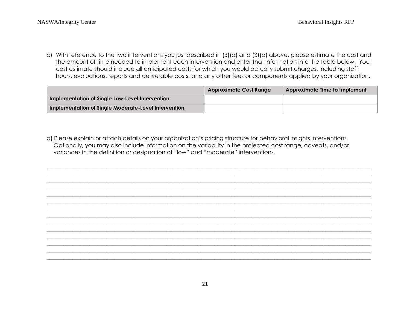c) With reference to the two interventions you just described in (3)(a) and (3)(b) above, please estimate the cost and the amount of time needed to implement each intervention and enter that information into the table below. Your cost estimate should include all anticipated costs for which you would actually submit charges, including staff hours, evaluations, reports and deliverable costs, and any other fees or components applied by your organization.

|                                                      | <b>Approximate Cost Range</b> | Approximate Time to Implement |
|------------------------------------------------------|-------------------------------|-------------------------------|
| Implementation of Single Low-Level Intervention      |                               |                               |
| Implementation of Single Moderate-Level Intervention |                               |                               |

d) Please explain or attach details on your organization's pricing structure for behavioral insights interventions. Optionally, you may also include information on the variability in the projected cost range, caveats, and/or variances in the definition or designation of "low" and "moderate" interventions.

\_\_\_\_\_\_\_\_\_\_\_\_\_\_\_\_\_\_\_\_\_\_\_\_\_\_\_\_\_\_\_\_\_\_\_\_\_\_\_\_\_\_\_\_\_\_\_\_\_\_\_\_\_\_\_\_\_\_\_\_\_\_\_\_\_\_\_\_\_\_\_\_\_\_\_\_\_\_\_\_\_\_\_\_\_\_\_\_\_\_\_\_\_\_\_\_\_\_\_\_\_\_\_\_\_\_\_\_\_\_\_\_\_\_  $\_$  ,  $\_$  ,  $\_$  ,  $\_$  ,  $\_$  ,  $\_$  ,  $\_$  ,  $\_$  ,  $\_$  ,  $\_$  ,  $\_$  ,  $\_$  ,  $\_$  ,  $\_$  ,  $\_$  ,  $\_$  ,  $\_$  ,  $\_$  ,  $\_$  ,  $\_$  ,  $\_$  ,  $\_$  ,  $\_$  ,  $\_$  ,  $\_$  ,  $\_$  ,  $\_$  ,  $\_$  ,  $\_$  ,  $\_$  ,  $\_$  ,  $\_$  ,  $\_$  ,  $\_$  ,  $\_$  ,  $\_$  ,  $\_$  , \_\_\_\_\_\_\_\_\_\_\_\_\_\_\_\_\_\_\_\_\_\_\_\_\_\_\_\_\_\_\_\_\_\_\_\_\_\_\_\_\_\_\_\_\_\_\_\_\_\_\_\_\_\_\_\_\_\_\_\_\_\_\_\_\_\_\_\_\_\_\_\_\_\_\_\_\_\_\_\_\_\_\_\_\_\_\_\_\_\_\_\_\_\_\_\_\_\_\_\_\_\_\_\_\_\_\_\_\_\_\_\_\_\_ \_\_\_\_\_\_\_\_\_\_\_\_\_\_\_\_\_\_\_\_\_\_\_\_\_\_\_\_\_\_\_\_\_\_\_\_\_\_\_\_\_\_\_\_\_\_\_\_\_\_\_\_\_\_\_\_\_\_\_\_\_\_\_\_\_\_\_\_\_\_\_\_\_\_\_\_\_\_\_\_\_\_\_\_\_\_\_\_\_\_\_\_\_\_\_\_\_\_\_\_\_\_\_\_\_\_\_\_\_\_\_\_\_\_ \_\_\_\_\_\_\_\_\_\_\_\_\_\_\_\_\_\_\_\_\_\_\_\_\_\_\_\_\_\_\_\_\_\_\_\_\_\_\_\_\_\_\_\_\_\_\_\_\_\_\_\_\_\_\_\_\_\_\_\_\_\_\_\_\_\_\_\_\_\_\_\_\_\_\_\_\_\_\_\_\_\_\_\_\_\_\_\_\_\_\_\_\_\_\_\_\_\_\_\_\_\_\_\_\_\_\_\_\_\_\_\_\_\_ \_\_\_\_\_\_\_\_\_\_\_\_\_\_\_\_\_\_\_\_\_\_\_\_\_\_\_\_\_\_\_\_\_\_\_\_\_\_\_\_\_\_\_\_\_\_\_\_\_\_\_\_\_\_\_\_\_\_\_\_\_\_\_\_\_\_\_\_\_\_\_\_\_\_\_\_\_\_\_\_\_\_\_\_\_\_\_\_\_\_\_\_\_\_\_\_\_\_\_\_\_\_\_\_\_\_\_\_\_\_\_\_\_\_ \_\_\_\_\_\_\_\_\_\_\_\_\_\_\_\_\_\_\_\_\_\_\_\_\_\_\_\_\_\_\_\_\_\_\_\_\_\_\_\_\_\_\_\_\_\_\_\_\_\_\_\_\_\_\_\_\_\_\_\_\_\_\_\_\_\_\_\_\_\_\_\_\_\_\_\_\_\_\_\_\_\_\_\_\_\_\_\_\_\_\_\_\_\_\_\_\_\_\_\_\_\_\_\_\_\_\_\_\_\_\_\_\_\_ \_\_\_\_\_\_\_\_\_\_\_\_\_\_\_\_\_\_\_\_\_\_\_\_\_\_\_\_\_\_\_\_\_\_\_\_\_\_\_\_\_\_\_\_\_\_\_\_\_\_\_\_\_\_\_\_\_\_\_\_\_\_\_\_\_\_\_\_\_\_\_\_\_\_\_\_\_\_\_\_\_\_\_\_\_\_\_\_\_\_\_\_\_\_\_\_\_\_\_\_\_\_\_\_\_\_\_\_\_\_\_\_\_\_ \_\_\_\_\_\_\_\_\_\_\_\_\_\_\_\_\_\_\_\_\_\_\_\_\_\_\_\_\_\_\_\_\_\_\_\_\_\_\_\_\_\_\_\_\_\_\_\_\_\_\_\_\_\_\_\_\_\_\_\_\_\_\_\_\_\_\_\_\_\_\_\_\_\_\_\_\_\_\_\_\_\_\_\_\_\_\_\_\_\_\_\_\_\_\_\_\_\_\_\_\_\_\_\_\_\_\_\_\_\_\_\_\_\_ \_\_\_\_\_\_\_\_\_\_\_\_\_\_\_\_\_\_\_\_\_\_\_\_\_\_\_\_\_\_\_\_\_\_\_\_\_\_\_\_\_\_\_\_\_\_\_\_\_\_\_\_\_\_\_\_\_\_\_\_\_\_\_\_\_\_\_\_\_\_\_\_\_\_\_\_\_\_\_\_\_\_\_\_\_\_\_\_\_\_\_\_\_\_\_\_\_\_\_\_\_\_\_\_\_\_\_\_\_\_\_\_\_\_ \_\_\_\_\_\_\_\_\_\_\_\_\_\_\_\_\_\_\_\_\_\_\_\_\_\_\_\_\_\_\_\_\_\_\_\_\_\_\_\_\_\_\_\_\_\_\_\_\_\_\_\_\_\_\_\_\_\_\_\_\_\_\_\_\_\_\_\_\_\_\_\_\_\_\_\_\_\_\_\_\_\_\_\_\_\_\_\_\_\_\_\_\_\_\_\_\_\_\_\_\_\_\_\_\_\_\_\_\_\_\_\_\_\_ \_\_\_\_\_\_\_\_\_\_\_\_\_\_\_\_\_\_\_\_\_\_\_\_\_\_\_\_\_\_\_\_\_\_\_\_\_\_\_\_\_\_\_\_\_\_\_\_\_\_\_\_\_\_\_\_\_\_\_\_\_\_\_\_\_\_\_\_\_\_\_\_\_\_\_\_\_\_\_\_\_\_\_\_\_\_\_\_\_\_\_\_\_\_\_\_\_\_\_\_\_\_\_\_\_\_\_\_\_\_\_\_\_\_ \_\_\_\_\_\_\_\_\_\_\_\_\_\_\_\_\_\_\_\_\_\_\_\_\_\_\_\_\_\_\_\_\_\_\_\_\_\_\_\_\_\_\_\_\_\_\_\_\_\_\_\_\_\_\_\_\_\_\_\_\_\_\_\_\_\_\_\_\_\_\_\_\_\_\_\_\_\_\_\_\_\_\_\_\_\_\_\_\_\_\_\_\_\_\_\_\_\_\_\_\_\_\_\_\_\_\_\_\_\_\_\_\_\_ \_\_\_\_\_\_\_\_\_\_\_\_\_\_\_\_\_\_\_\_\_\_\_\_\_\_\_\_\_\_\_\_\_\_\_\_\_\_\_\_\_\_\_\_\_\_\_\_\_\_\_\_\_\_\_\_\_\_\_\_\_\_\_\_\_\_\_\_\_\_\_\_\_\_\_\_\_\_\_\_\_\_\_\_\_\_\_\_\_\_\_\_\_\_\_\_\_\_\_\_\_\_\_\_\_\_\_\_\_\_\_\_\_\_